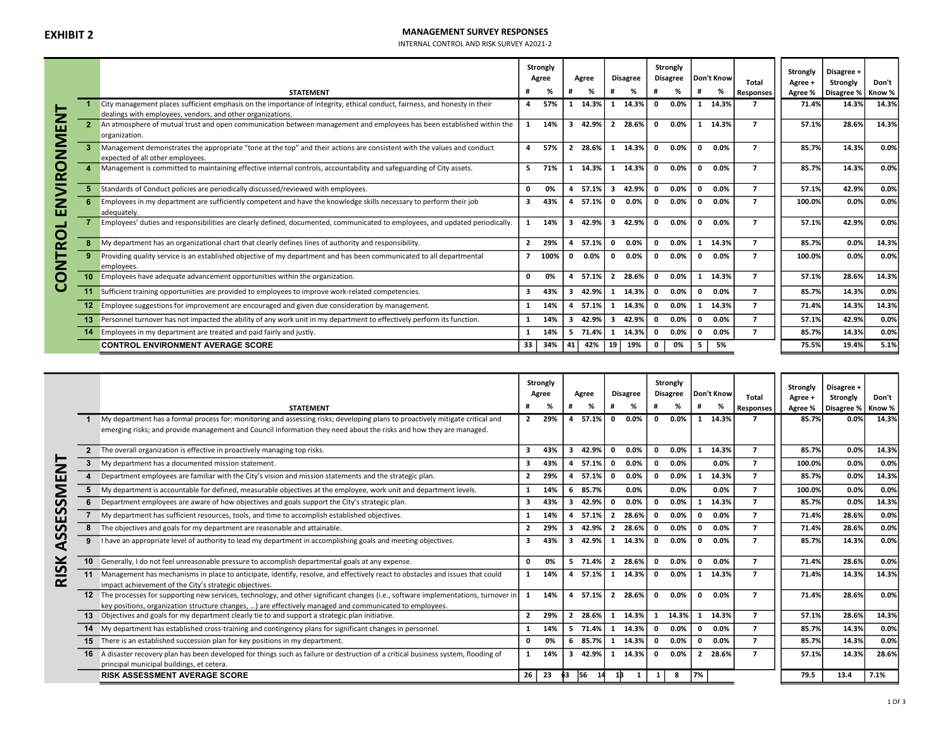# **EXHIBIT 2** MANAGEMENT SURVEY RESPONSES

INTERNAL CONTROL AND RISK SURVEY A2021-2

|               |                |                                                                                                                                                            |                | Strongly<br>Agree |    | Agree   |                | <b>Disagree</b> |              | Strongly<br><b>Disagree</b> |              | Don't Know            | Total                    | Strongly<br>Agree + | Disagree +<br>Strongly         | Don't  |
|---------------|----------------|------------------------------------------------------------------------------------------------------------------------------------------------------------|----------------|-------------------|----|---------|----------------|-----------------|--------------|-----------------------------|--------------|-----------------------|--------------------------|---------------------|--------------------------------|--------|
|               |                | <b>STATEMENT</b>                                                                                                                                           |                | %                 |    | ℅       |                | ℅               | Ħ            | %                           | #            | %                     | <b>Responses</b>         |                     | Agree %   Disagree %   Know %  |        |
|               |                | City management places sufficient emphasis on the importance of integrity, ethical conduct, fairness, and honesty in their                                 | 4              | 57%               | 1. | 14.3%   |                | 14.3%           | $\mathbf 0$  | 0.0%                        |              | 1 14.3%               |                          | 71.4%               | 14.3%                          | 14.3%  |
|               |                | dealings with employees, vendors, and other organizations.                                                                                                 |                |                   |    |         |                |                 |              |                             |              |                       |                          |                     |                                |        |
|               | $\overline{2}$ | An atmosphere of mutual trust and open communication between management and employees has been established within the<br>organization.                     | 1              | 14%               | 3  | 42.9%   | $\overline{2}$ | 28.6%           | $\mathbf{0}$ | $0.0\%$                     |              | 1 14.3%               | 7                        | 57.1%               | 28.6%                          | 14.3%  |
| NVIRONMENT    | 3              | Management demonstrates the appropriate "tone at the top" and their actions are consistent with the values and conduct<br>expected of all other employees. | 4              | 57%               |    | 2 28.6% | 1              | 14.3%           | $\mathbf{0}$ | 0.0%                        | $\mathbf{0}$ | 0.0%                  | $\overline{ }$           | 85.7%               | 14.3%                          | 0.0%   |
|               |                | Management is committed to maintaining effective internal controls, accountability and safeguarding of City assets.                                        | 5.             | 71%               |    | 1 14.3% |                | 14.3%           | $\mathbf{0}$ | 0.0%                        | $\mathbf{0}$ | $0.0\%$               | $\overline{ }$           | 85.7%               | 14.3%                          | 0.0%   |
|               |                | Standards of Conduct policies are periodically discussed/reviewed with employees.                                                                          | 0              | 0%                | 4  | 57.1%   | $\mathbf{3}$   | 42.9%           | 0            | 0.0%                        | $\mathbf 0$  | $0.0\%$               | $\overline{7}$           | 57.1%               | 42.9%                          | 0.0%   |
| ш             |                | Employees in my department are sufficiently competent and have the knowledge skills necessary to perform their job<br>adequately.                          | 3              | 43%               | 4  | 57.1%   | <sup>0</sup>   | 0.0%            | $\mathbf{0}$ | 0.0%                        | $\mathbf{o}$ | $0.0\%$               | $\overline{ }$           | 100.0%              | 0.0%                           | 0.0%   |
|               |                | Employees' duties and responsibilities are clearly defined, documented, communicated to employees, and updated periodically.                               | $\mathbf{1}$   | 14%               |    | 3 42.9% | 3              | 42.9%           | $\mathbf{0}$ | 0.0%                        | $\mathbf{0}$ | $0.0\%$               | $\overline{\phantom{a}}$ | 57.1%               | 42.9%                          | 0.0%   |
|               | 8              | My department has an organizational chart that clearly defines lines of authority and responsibility.                                                      | $\overline{2}$ | 29%               |    | 4 57.1% | $\Omega$       | 0.0%            | $\mathbf 0$  | $0.0\%$                     |              | 1 14.3%               | $\overline{ }$           | 85.7%               | 0.0%                           | 14.3%  |
| <b>ONTROL</b> | 9              | Providing quality service is an established objective of my department and has been communicated to all departmental<br>employees.                         |                | 100%              | n  | 0.0%    |                | 0.0%            | $\mathbf 0$  | 0.0%                        | 0            | $0.0\%$               | $\overline{ }$           | 100.0%              | 0.0%                           | 0.0%   |
|               |                | Employees have adequate advancement opportunities within the organization.                                                                                 | <sup>0</sup>   | 0%                | 4  | 57.1%   | $\overline{2}$ | 28.6%           | $\mathbf{0}$ | 0.0%                        |              | 1 14.3%               | $\overline{ }$           | 57.1%               | 28.6%                          | 14.3%  |
| U             |                | 11 Sufficient training opportunities are provided to employees to improve work-related competencies.                                                       | 3              | 43%               |    | 3 42.9% |                | 14.3%           | $\mathbf{0}$ | 0.0%                        | $\mathbf{0}$ | $0.0\%$               | $\overline{7}$           | 85.7%               | 14.3%                          | 0.0%   |
|               |                | 12 Employee suggestions for improvement are encouraged and given due consideration by management.                                                          |                | 14%               |    | 4 57.1% |                | 14.3%           | $\mathbf 0$  | 0.0%                        |              | 1 14.3%               | $\overline{ }$           | 71.4%               | 14.3%                          | 14.3%  |
|               |                | 13 Personnel turnover has not impacted the ability of any work unit in my department to effectively perform its function.                                  | 1              | 14%               | 3  | 42.9%   | $\mathbf{3}$   | 42.9%           | $\mathbf{0}$ | 0.0%                        | $\mathbf{0}$ | 0.0%                  | $\overline{ }$           | 57.1%               | 42.9%                          | 0.0%   |
|               |                | Employees in my department are treated and paid fairly and justly.                                                                                         | 1              | 14%               |    | 5 71.4% | 1              | 14.3%           | 0            | 0.0%                        | $\mathbf 0$  | $0.0\%$               | $\overline{7}$           | 85.7%               | 14.3%                          | 0.0%   |
|               |                | <b>CONTROL ENVIRONMENT AVERAGE SCORE</b>                                                                                                                   | 33 I           | 34% 41            |    | 42%     | 19             | 19%             | $\mathbf 0$  | 0%                          | 5            | 5%                    |                          | 75.5%               | 19.4%                          | 5.1%   |
|               |                |                                                                                                                                                            |                |                   |    |         |                |                 |              |                             |              |                       |                          |                     |                                |        |
|               |                |                                                                                                                                                            |                | Strongly<br>Agree |    | Agree   |                | <b>Disagree</b> |              | Strongly                    |              | Disagree   Don't Know | <b>Takel</b>             | Strongly            | Disagree +<br>Chapter of Links | Doubt. |

|               |    | <b>STATEMENT</b><br>My department has a formal process for: monitoring and assessing risks; developing plans to proactively mitigate critical and<br>emerging risks; and provide management and Council information they need about the risks and how they are managed. |                | Strongly<br>Agree<br>℀<br>2 29% | 4              | Agree<br>%<br>57.1% | $\mathbf{0}$   | <b>Disagree</b><br>%<br>0.0% | $\mathbf{0}$   | Strongly<br><b>Disagree</b><br>%<br>0.0% | $\mathbf{1}$ | Don't Know<br>%<br>14.3% | <b>Total</b><br><b>Responses</b> | Strongly<br>Agree +<br>85.7% | Disagree +<br>Strongly<br>Agree %   Disagree %   Know %<br>0.0% | Don't<br>14.3% |
|---------------|----|-------------------------------------------------------------------------------------------------------------------------------------------------------------------------------------------------------------------------------------------------------------------------|----------------|---------------------------------|----------------|---------------------|----------------|------------------------------|----------------|------------------------------------------|--------------|--------------------------|----------------------------------|------------------------------|-----------------------------------------------------------------|----------------|
|               |    | 2 The overall organization is effective in proactively managing top risks.                                                                                                                                                                                              | 3              | 43%                             | 3              | 42.9%               | 0              | 0.0%                         | $\mathbf{0}$   | 0.0%                                     |              | 14.3%                    | $\mathbf{7}$                     | 85.7%                        | 0.0%                                                            | 14.3%          |
| $\frac{1}{2}$ |    | My department has a documented mission statement.                                                                                                                                                                                                                       | 3              | 43%                             |                | 57.1%               | 0              | 0.0%                         | 0              | 0.0%                                     |              | 0.0%                     | $\overline{\phantom{a}}$         | 100.0%                       | 0.0%                                                            | 0.0%           |
| ш             |    | Department employees are familiar with the City's vision and mission statements and the strategic plan.                                                                                                                                                                 | $\mathbf{2}$   | 29%                             |                | 57.1%               | $\mathbf{0}$   | 0.0%                         | 0              | 0.0%                                     |              | 14.3%                    | $\overline{7}$                   | 85.7%                        | 0.0%                                                            | 14.3%          |
|               | 5  | My department is accountable for defined, measurable objectives at the employee, work unit and department levels.                                                                                                                                                       | 1              | 14%                             | 6              | 85.7%               |                | 0.0%                         |                | 0.0%                                     |              | 0.0%                     | $\overline{\phantom{a}}$         | 100.0%                       | 0.0%                                                            | 0.0%           |
| n             |    | Department employees are aware of how objectives and goals support the City's strategic plan.                                                                                                                                                                           | 3              | 43%                             | 3              | 42.9%               | $\mathbf{0}$   | 0.0%                         | $\mathbf{0}$   | 0.0%                                     |              | 14.3%                    | $\overline{\phantom{a}}$         | 85.7%                        | 0.0%                                                            | 14.3%          |
| S<br>ш        |    | My department has sufficient resources, tools, and time to accomplish established objectives.                                                                                                                                                                           | 1              | 14%                             |                | 57.1%               | $\overline{2}$ | 28.6%                        | $\mathbf 0$    | 0.0%                                     | $\mathbf{0}$ | $0.0\%$                  | $\mathbf{z}$                     | 71.4%                        | 28.6%                                                           | 0.0%           |
| n             |    | The objectives and goals for my department are reasonable and attainable.                                                                                                                                                                                               | $\mathbf{2}$   | 29%                             | 3.             | 42.9%               | $\overline{2}$ | 28.6%                        | $\mathbf{0}$   | 0.0%                                     | $\Omega$     | 0.0%                     | $\overline{ }$                   | 71.4%                        | 28.6%                                                           | 0.0%           |
| S<br>⋖        | 9  | I have an appropriate level of authority to lead my department in accomplishing goals and meeting objectives.                                                                                                                                                           | 3              | 43%                             | 3              | 42.9%               | 1              | 14.3%                        | 0              | 0.0%                                     | 0            | $0.0\%$                  |                                  | 85.7%                        | 14.3%                                                           | 0.0%           |
| ¥             |    | 10 Generally, I do not feel unreasonable pressure to accomplish departmental goals at any expense.                                                                                                                                                                      | 0              | 0%                              |                | 5 71.4%             | $\overline{2}$ | 28.6%                        | $\mathbf{0}$   | 0.0%                                     | $\Omega$     | $0.0\%$                  | $\overline{\phantom{a}}$         | 71.4%                        | 28.6%                                                           | 0.0%           |
| <b>RIS</b>    | 11 | Management has mechanisms in place to anticipate, identify, resolve, and effectively react to obstacles and issues that could<br>impact achievement of the City's strategic objectives.                                                                                 | $\mathbf{1}$   | 14%                             | 4              | 57.1%               | 1              | 14.3%                        | $\mathbf{0}$   | 0.0%                                     |              | 14.3%                    |                                  | 71.4%                        | 14.3%                                                           | 14.3%          |
|               |    | 12 The processes for supporting new services, technology, and other significant changes (i.e., software implementations, turnover in<br>key positions, organization structure changes, ) are effectively managed and communicated to employees.                         |                | 14%                             |                | 57.1%               | $\overline{2}$ | 28.6%                        | $\mathbf{0}$   | 0.0%                                     | <sup>0</sup> | $0.0\%$                  |                                  | 71.4%                        | 28.6%                                                           | 0.0%           |
|               |    | 13 Objectives and goals for my department clearly tie to and support a strategic plan initiative.                                                                                                                                                                       | $\overline{2}$ | 29%                             | $\overline{2}$ | 28.6%               | 1              | 14.3%                        | 1              | 14.3%                                    |              | 14.3%                    | $\mathbf{z}$                     | 57.1%                        | 28.6%                                                           | 14.3%          |
|               |    | 14 My department has established cross-training and contingency plans for significant changes in personnel.                                                                                                                                                             | $\mathbf{1}$   | 14%                             |                | 5 71.4%             | $-1$           | 14.3%                        | $\mathbf{0}$   | 0.0%                                     | $\mathbf{0}$ | $0.0\%$                  | $\overline{ }$                   | 85.7%                        | 14.3%                                                           | 0.0%           |
|               |    | <b>15</b> There is an established succession plan for key positions in my department.                                                                                                                                                                                   | 0              | 0%                              | 6              | 85.7%               | 1              | 14.3%                        | $\mathbf{0}$   | 0.0%                                     | $\mathbf{0}$ | $0.0\%$                  | $\overline{\phantom{a}}$         | 85.7%                        | 14.3%                                                           | 0.0%           |
|               |    | 16 A disaster recovery plan has been developed for things such as failure or destruction of a critical business system, flooding of<br>principal municipal buildings, et cetera.                                                                                        |                | 14%                             | 3              | 42.9%               | 1              | 14.3%                        | $\mathbf{0}$   | 0.0%                                     | $\mathbf{2}$ | 28.6%                    | $\overline{\phantom{a}}$         | 57.1%                        | 14.3%                                                           | 28.6%          |
|               |    | <b>RISK ASSESSMENT AVERAGE SCORE</b>                                                                                                                                                                                                                                    | 26             | -23                             | 63             | 56                  | 1B             |                              | 1 <sup>1</sup> | - 8                                      | 7%           |                          |                                  | 79.5                         | 13.4                                                            | 7.1%           |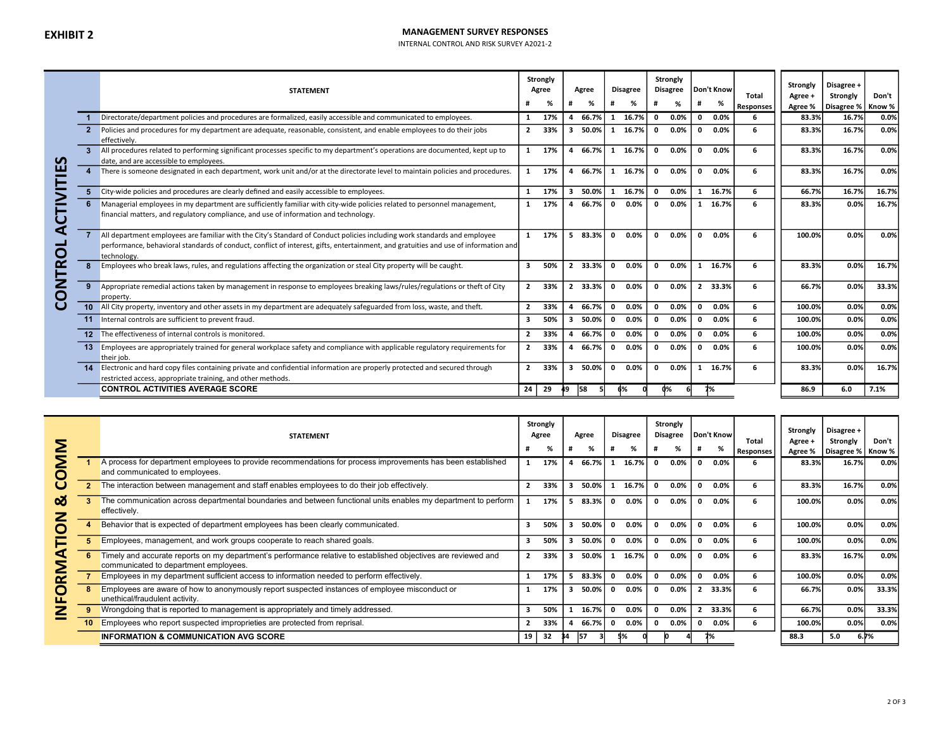# **EXHIBIT 2** MANAGEMENT SURVEY RESPONSES

INTERNAL CONTROL AND RISK SURVEY A2021-2

|        |                         | <b>STATEMENT</b>                                                                                                                                                                                                                                                               |                         | Strongly<br>Agree<br>% |    | Agree<br>% |              | <b>Disagree</b><br>% |              | Strongly<br><b>Disagree</b><br>% | #            | Don't Know<br>% | Total<br><b>Responses</b> | Strongly<br>Agree +<br>Agree % | Disagree +<br>Strongly<br>Disagree %   Know % | Don't |
|--------|-------------------------|--------------------------------------------------------------------------------------------------------------------------------------------------------------------------------------------------------------------------------------------------------------------------------|-------------------------|------------------------|----|------------|--------------|----------------------|--------------|----------------------------------|--------------|-----------------|---------------------------|--------------------------------|-----------------------------------------------|-------|
|        |                         | Directorate/department policies and procedures are formalized, easily accessible and communicated to employees.                                                                                                                                                                |                         | 17%                    | 4  | 66.7%      | 1            | 16.7%                | $\mathbf{0}$ | 0.0%                             | $\mathbf{0}$ | $0.0\%$         | 6                         | 83.3%                          | 16.7%                                         | 0.0%  |
|        |                         | Policies and procedures for my department are adequate, reasonable, consistent, and enable employees to do their jobs<br>effectively.                                                                                                                                          | $2^{\circ}$             | 33%                    | 3  | 50.0%      | 1            | 16.7%                | $\mathbf{0}$ | 0.0%                             | $\mathbf{0}$ | $0.0\%$         | 6                         | 83.3%                          | 16.7%                                         | 0.0%  |
| ທ      |                         | All procedures related to performing significant processes specific to my department's operations are documented, kept up to<br>date, and are accessible to employees.                                                                                                         |                         | 1 17%                  | 4  | 66.7%      | $\mathbf{1}$ | 16.7%                | $\mathbf{0}$ | $0.0\%$                          | $\mathbf{0}$ | $0.0\%$         | 6                         | 83.3%                          | 16.7%                                         | 0.0%  |
| ш      | $\overline{\mathbf{4}}$ | There is someone designated in each department, work unit and/or at the directorate level to maintain policies and procedures.                                                                                                                                                 |                         | 17%                    |    | 66.7%      | 1            | 16.7%                | $\mathbf{0}$ | 0.0%                             | $\mathbf{0}$ | $0.0\%$         | 6                         | 83.3%                          | 16.7%                                         | 0.0%  |
|        | 5                       | City-wide policies and procedures are clearly defined and easily accessible to employees.                                                                                                                                                                                      | $\mathbf{1}$            | 17%                    | 3  | 50.0%      | $\mathbf{1}$ | 16.7%                | $\mathbf{0}$ | 0.0%                             |              | 1 16.7%         | 6                         | 66.7%                          | 16.7%                                         | 16.7% |
| ں      | 6                       | Managerial employees in my department are sufficiently familiar with city-wide policies related to personnel management,<br>financial matters, and regulatory compliance, and use of information and technology.                                                               | $\mathbf{1}$            | 17%                    |    | 4 66.7%    | $\mathbf{0}$ | $0.0\%$              | $\mathbf{0}$ | $0.0\%$                          | $\mathbf{1}$ | 16.7%           | 6                         | 83.3%                          | 0.0%                                          | 16.7% |
| ⋖<br>0 |                         | All department employees are familiar with the City's Standard of Conduct policies including work standards and employee<br>performance, behavioral standards of conduct, conflict of interest, gifts, entertainment, and gratuities and use of information and<br>technology. |                         | 1 17%                  |    | 5 83.3%    | $\mathbf{0}$ | $0.0\%$              | $\mathbf{0}$ | 0.0%                             | $\mathbf{0}$ | $0.0\%$         | 6                         | 100.0%                         | 0.0%                                          | 0.0%  |
| ≃      | 8                       | Employees who break laws, rules, and regulations affecting the organization or steal City property will be caught.                                                                                                                                                             | 3                       | 50%                    |    | 2 33.3%    | $\mathbf{0}$ | $0.0\%$              | $\mathbf{0}$ | $0.0\%$                          | $\mathbf{1}$ | 16.7%           | 6                         | 83.3%                          | 0.0%                                          | 16.7% |
| Z<br>Ō |                         | Appropriate remedial actions taken by management in response to employees breaking laws/rules/regulations or theft of City<br>property.                                                                                                                                        | $\overline{2}$          | 33%                    |    | 2 33.3%    | $\Omega$     | 0.0%                 | $\mathbf{0}$ | $0.0\%$                          |              | 2 33.3%         | 6                         | 66.7%                          | 0.0%                                          | 33.3% |
| ပ      |                         | 10 All City property, inventory and other assets in my department are adequately safeguarded from loss, waste, and theft.                                                                                                                                                      | $\overline{2}$          | 33%                    |    | 66.7%      | $\mathbf{0}$ | $0.0\%$              | $\mathbf{0}$ | $0.0\%$                          | $\mathbf 0$  | 0.0%            | 6                         | 100.0%                         | 0.0%                                          | 0.0%  |
|        |                         | 11 Internal controls are sufficient to prevent fraud.                                                                                                                                                                                                                          | $\overline{\mathbf{3}}$ | 50%                    | 3  | 50.0%      | $\mathbf{0}$ | $0.0\%$              | $\mathbf{0}$ | $0.0\%$                          | $\mathbf{0}$ | $0.0\%$         | 6                         | 100.0%                         | 0.0%                                          | 0.0%  |
|        |                         | 12 The effectiveness of internal controls is monitored.                                                                                                                                                                                                                        | $2^{\circ}$             | 33%                    |    | 66.7%      | $\mathbf 0$  | 0.0%                 | $\mathbf{0}$ | 0.0%                             | $\mathbf 0$  | $0.0\%$         | 6                         | 100.0%                         | 0.0%                                          | 0.0%  |
|        |                         | 13 Employees are appropriately trained for general workplace safety and compliance with applicable regulatory requirements for<br>their job.                                                                                                                                   | $\overline{2}$          | 33%                    |    | 66.7%      | $\mathbf{0}$ | 0.0%                 | $\mathbf{0}$ | $0.0\%$                          | $\mathbf{0}$ | $0.0\%$         | 6                         | 100.0%                         | 0.0%                                          | 0.0%  |
|        |                         | 14 Electronic and hard copy files containing private and confidential information are properly protected and secured through<br>restricted access, appropriate training, and other methods.                                                                                    | $\overline{2}$          | 33%                    | 3  | 50.0%      | $\mathbf{0}$ | $0.0\%$              | $\mathbf{0}$ | $0.0\%$                          | 1            | 16.7%           | 6                         | 83.3%                          | 0.0%                                          | 16.7% |
|        |                         | <b>CONTROL ACTIVITIES AVERAGE SCORE</b>                                                                                                                                                                                                                                        | 24                      | 29                     | 49 | 58         | 6%           |                      |              | d%                               |              | 7%              |                           | 86.9                           | 6.0                                           | 7.1%  |

| Σ      | <b>STATEMENT</b>                                                                                                                                        |    | Strongly<br>Agree<br>% |    | Agree<br>% |              | Disagree |   | Strongly<br>Disagree<br>% |                | Don't Know<br>% | Total            | Strongly<br>Agree + | Disagree +<br>Strongly                 | Don't   |
|--------|---------------------------------------------------------------------------------------------------------------------------------------------------------|----|------------------------|----|------------|--------------|----------|---|---------------------------|----------------|-----------------|------------------|---------------------|----------------------------------------|---------|
|        | A process for department employees to provide recommendations for process improvements has been established                                             |    | 17%                    |    | 66.7%      |              | 16.7%    | 0 | 0.0%                      |                | $0.0\%$         | <b>Responses</b> | 83.3%               | Agree %   Disagree %   Know %<br>16.7% | 0.0%    |
| O      | and communicated to employees.                                                                                                                          |    |                        |    |            |              |          |   |                           |                |                 |                  |                     |                                        |         |
| U      | The interaction between management and staff enables employees to do their job effectively.                                                             | 2  | 33%                    |    | 50.0%      |              | 16.7%    | 0 | 0.0%                      |                | $0.0\%$         | 6                | 83.3%               | 16.7%                                  | 0.0%    |
| Ø<br>╱ | The communication across departmental boundaries and between functional units enables my department to perform<br>effectively.                          |    | 17%                    |    | 83.3%      | $\mathbf{0}$ | $0.0\%$  | 0 | $0.0\%$                   |                | 0.0%            | 6                | 100.0%              | 0.0%                                   | 0.0%    |
| ō      | Behavior that is expected of department employees has been clearly communicated.                                                                        | 3  | 50%                    |    | 50.0%      | 0            | 0.0%     | 0 | 0.0%                      |                | 0.0%            | 6                | 100.0%              | 0.0%                                   | 0.0%    |
|        | Employees, management, and work groups cooperate to reach shared goals.                                                                                 | 3  | 50%                    |    | 50.0%      |              | 0.0%     | 0 | 0.0%                      |                | 0.0%            | 6                | 100.0%              | 0.0%                                   | 0.0%    |
|        | Timely and accurate reports on my department's performance relative to established objectives are reviewed and<br>communicated to department employees. |    | 33%                    |    | 50.0%      |              | 16.7%    | 0 | 0.0%                      |                | 0.0%            | 6                | 83.3%               | 16.7%                                  | 0.0%    |
| M<br>∑ | Employees in my department sufficient access to information needed to perform effectively.                                                              |    | 17%                    |    | 83.3%      | 0            | $0.0\%$  | 0 | $0.0\%$                   |                | 0.0%            | 6                | 100.0%              | 0.0%                                   | 0.0%    |
| Ξ<br>u | Employees are aware of how to anonymously report suspected instances of employee misconduct or<br>unethical/fraudulent activity.                        |    | 17%                    |    | 50.0%      | 0            | $0.0\%$  | 0 | $0.0\%$                   | $\overline{2}$ | 33.3%           | 6                | 66.7%               | 0.0%                                   | 33.3%   |
| Z      | Wrongdoing that is reported to management is appropriately and timely addressed.                                                                        | з  | 50%                    |    | 16.7%      | 0            | 0.0%     | 0 | $0.0\%$                   |                | 33.3%           | 6.               | 66.7%               | 0.0%                                   | 33.3%   |
|        | Employees who report suspected improprieties are protected from reprisal.                                                                               |    | 33%                    |    | 66.7%      | $\mathbf 0$  | 0.0%     | 0 | $0.0\%$                   | 0              | $0.0\%$         | 6                | 100.0%              | 0.0%                                   | 0.0%    |
|        | <b>INFORMATION &amp; COMMUNICATION AVG SCORE</b>                                                                                                        | 19 | - 32                   | 34 | - 157      | 5%           |          |   |                           |                |                 |                  | 88.3                | 5.0                                    | $6.7\%$ |